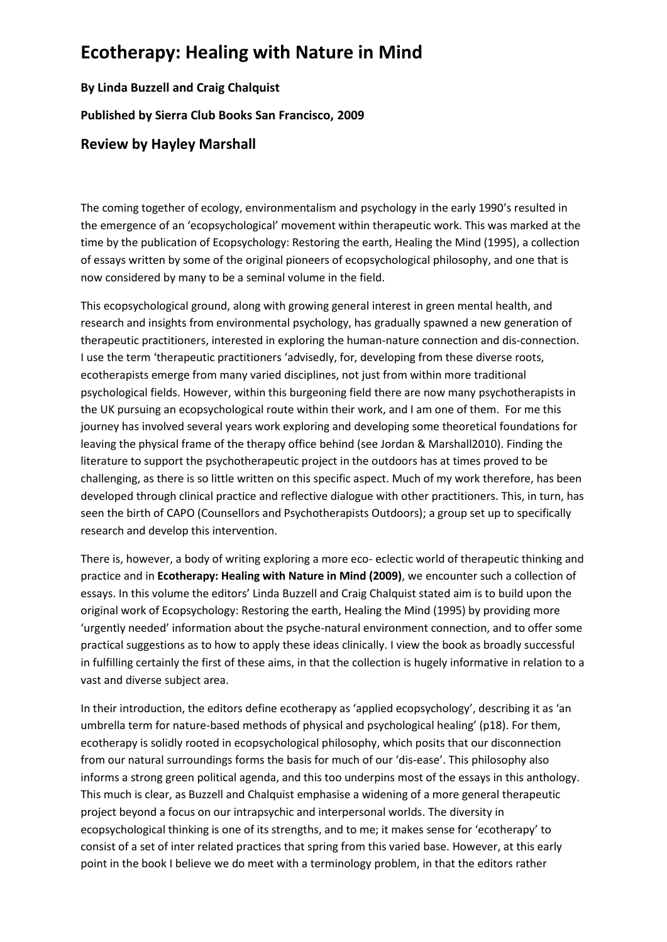## **Ecotherapy: Healing with Nature in Mind**

**By Linda Buzzell and Craig Chalquist Published by Sierra Club Books San Francisco, 2009**

## **Review by Hayley Marshall**

The coming together of ecology, environmentalism and psychology in the early 1990's resulted in the emergence of an 'ecopsychological' movement within therapeutic work. This was marked at the time by the publication of Ecopsychology: Restoring the earth, Healing the Mind (1995), a collection of essays written by some of the original pioneers of ecopsychological philosophy, and one that is now considered by many to be a seminal volume in the field.

This ecopsychological ground, along with growing general interest in green mental health, and research and insights from environmental psychology, has gradually spawned a new generation of therapeutic practitioners, interested in exploring the human-nature connection and dis-connection. I use the term 'therapeutic practitioners 'advisedly, for, developing from these diverse roots, ecotherapists emerge from many varied disciplines, not just from within more traditional psychological fields. However, within this burgeoning field there are now many psychotherapists in the UK pursuing an ecopsychological route within their work, and I am one of them. For me this journey has involved several years work exploring and developing some theoretical foundations for leaving the physical frame of the therapy office behind (see Jordan & Marshall2010). Finding the literature to support the psychotherapeutic project in the outdoors has at times proved to be challenging, as there is so little written on this specific aspect. Much of my work therefore, has been developed through clinical practice and reflective dialogue with other practitioners. This, in turn, has seen the birth of CAPO (Counsellors and Psychotherapists Outdoors); a group set up to specifically research and develop this intervention.

There is, however, a body of writing exploring a more eco- eclectic world of therapeutic thinking and practice and in **Ecotherapy: Healing with Nature in Mind (2009)**, we encounter such a collection of essays. In this volume the editors' Linda Buzzell and Craig Chalquist stated aim is to build upon the original work of Ecopsychology: Restoring the earth, Healing the Mind (1995) by providing more 'urgently needed' information about the psyche-natural environment connection, and to offer some practical suggestions as to how to apply these ideas clinically. I view the book as broadly successful in fulfilling certainly the first of these aims, in that the collection is hugely informative in relation to a vast and diverse subject area.

In their introduction, the editors define ecotherapy as 'applied ecopsychology', describing it as 'an umbrella term for nature-based methods of physical and psychological healing' (p18). For them, ecotherapy is solidly rooted in ecopsychological philosophy, which posits that our disconnection from our natural surroundings forms the basis for much of our 'dis-ease'. This philosophy also informs a strong green political agenda, and this too underpins most of the essays in this anthology. This much is clear, as Buzzell and Chalquist emphasise a widening of a more general therapeutic project beyond a focus on our intrapsychic and interpersonal worlds. The diversity in ecopsychological thinking is one of its strengths, and to me; it makes sense for 'ecotherapy' to consist of a set of inter related practices that spring from this varied base. However, at this early point in the book I believe we do meet with a terminology problem, in that the editors rather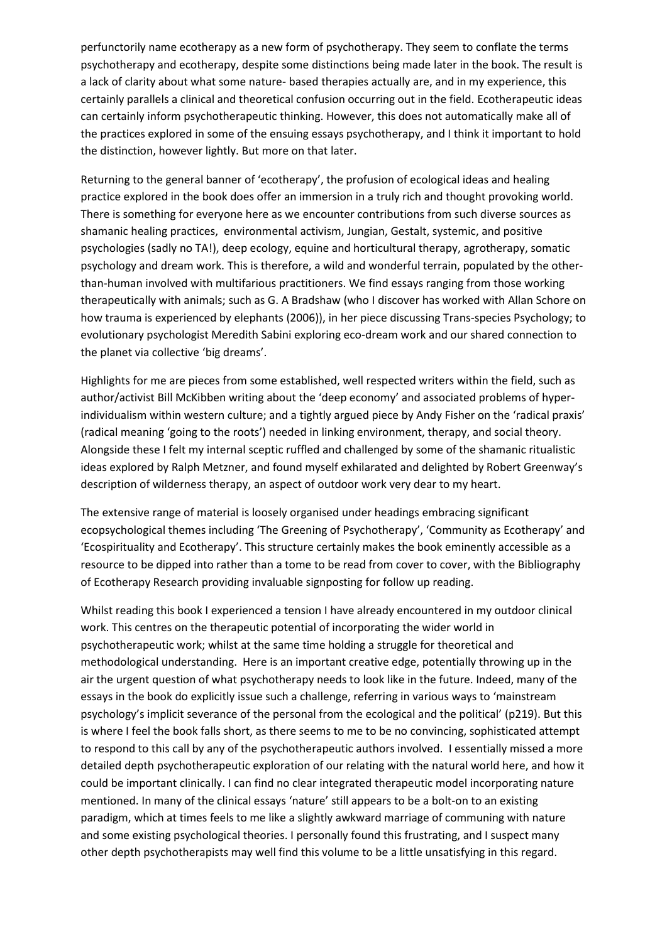perfunctorily name ecotherapy as a new form of psychotherapy. They seem to conflate the terms psychotherapy and ecotherapy, despite some distinctions being made later in the book. The result is a lack of clarity about what some nature- based therapies actually are, and in my experience, this certainly parallels a clinical and theoretical confusion occurring out in the field. Ecotherapeutic ideas can certainly inform psychotherapeutic thinking. However, this does not automatically make all of the practices explored in some of the ensuing essays psychotherapy, and I think it important to hold the distinction, however lightly. But more on that later.

Returning to the general banner of 'ecotherapy', the profusion of ecological ideas and healing practice explored in the book does offer an immersion in a truly rich and thought provoking world. There is something for everyone here as we encounter contributions from such diverse sources as shamanic healing practices, environmental activism, Jungian, Gestalt, systemic, and positive psychologies (sadly no TA!), deep ecology, equine and horticultural therapy, agrotherapy, somatic psychology and dream work. This is therefore, a wild and wonderful terrain, populated by the otherthan-human involved with multifarious practitioners. We find essays ranging from those working therapeutically with animals; such as G. A Bradshaw (who I discover has worked with Allan Schore on how trauma is experienced by elephants (2006)), in her piece discussing Trans-species Psychology; to evolutionary psychologist Meredith Sabini exploring eco-dream work and our shared connection to the planet via collective 'big dreams'.

Highlights for me are pieces from some established, well respected writers within the field, such as author/activist Bill McKibben writing about the 'deep economy' and associated problems of hyperindividualism within western culture; and a tightly argued piece by Andy Fisher on the 'radical praxis' (radical meaning 'going to the roots') needed in linking environment, therapy, and social theory. Alongside these I felt my internal sceptic ruffled and challenged by some of the shamanic ritualistic ideas explored by Ralph Metzner, and found myself exhilarated and delighted by Robert Greenway's description of wilderness therapy, an aspect of outdoor work very dear to my heart.

The extensive range of material is loosely organised under headings embracing significant ecopsychological themes including 'The Greening of Psychotherapy', 'Community as Ecotherapy' and 'Ecospirituality and Ecotherapy'. This structure certainly makes the book eminently accessible as a resource to be dipped into rather than a tome to be read from cover to cover, with the Bibliography of Ecotherapy Research providing invaluable signposting for follow up reading.

Whilst reading this book I experienced a tension I have already encountered in my outdoor clinical work. This centres on the therapeutic potential of incorporating the wider world in psychotherapeutic work; whilst at the same time holding a struggle for theoretical and methodological understanding. Here is an important creative edge, potentially throwing up in the air the urgent question of what psychotherapy needs to look like in the future. Indeed, many of the essays in the book do explicitly issue such a challenge, referring in various ways to 'mainstream psychology's implicit severance of the personal from the ecological and the political' (p219). But this is where I feel the book falls short, as there seems to me to be no convincing, sophisticated attempt to respond to this call by any of the psychotherapeutic authors involved. I essentially missed a more detailed depth psychotherapeutic exploration of our relating with the natural world here, and how it could be important clinically. I can find no clear integrated therapeutic model incorporating nature mentioned. In many of the clinical essays 'nature' still appears to be a bolt-on to an existing paradigm, which at times feels to me like a slightly awkward marriage of communing with nature and some existing psychological theories. I personally found this frustrating, and I suspect many other depth psychotherapists may well find this volume to be a little unsatisfying in this regard.